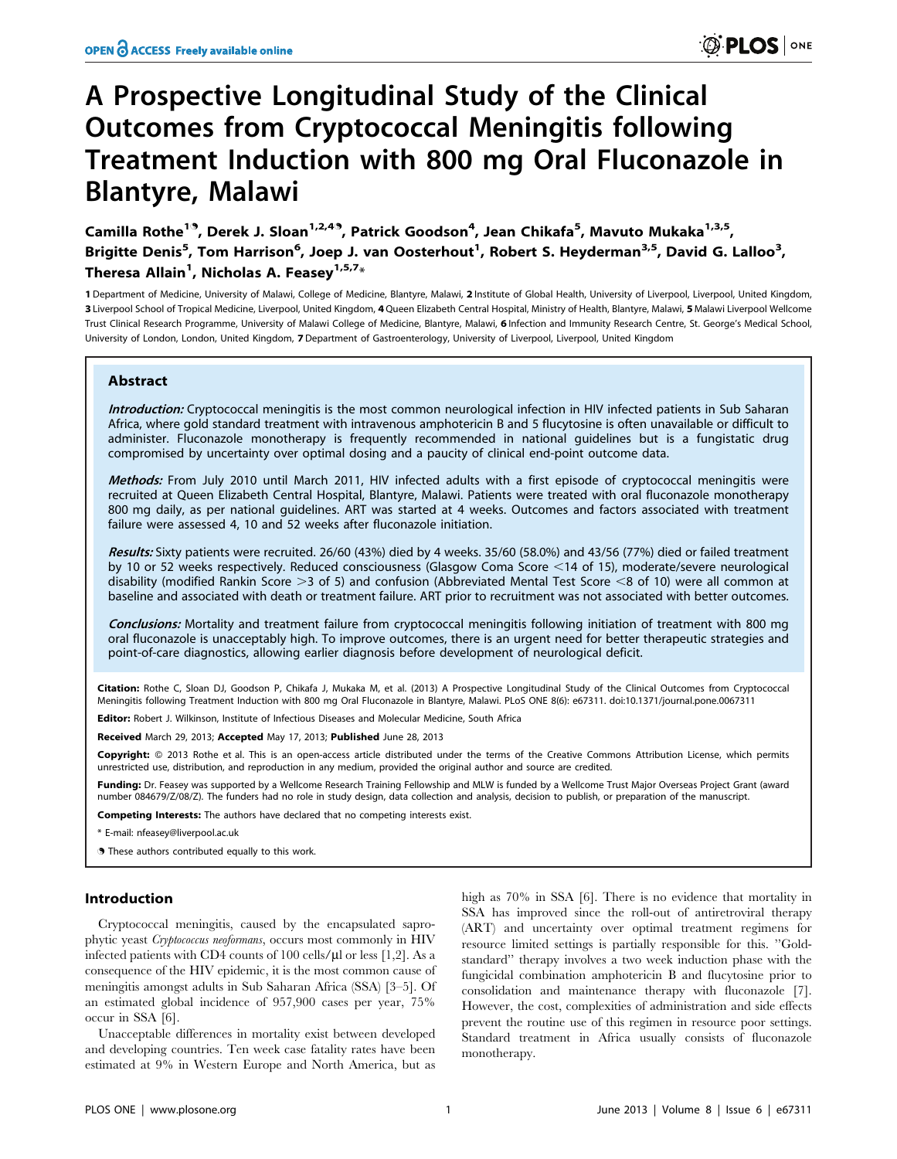# A Prospective Longitudinal Study of the Clinical Outcomes from Cryptococcal Meningitis following Treatment Induction with 800 mg Oral Fluconazole in Blantyre, Malawi

Camilla Rothe<sup>19</sup>, Derek J. Sloan<sup>1,2,49</sup>, Patrick Goodson<sup>4</sup>, Jean Chikafa<sup>5</sup>, Mavuto Mukaka<sup>1,3,5</sup>, Brigitte Denis<sup>5</sup>, Tom Harrison<sup>6</sup>, Joep J. van Oosterhout<sup>1</sup>, Robert S. Heyderman<sup>3,5</sup>, David G. Lalloo<sup>3</sup>, Theresa Allain<sup>1</sup>, Nicholas A. Feasey $^{1,5,7\ast}$ 

1 Department of Medicine, University of Malawi, College of Medicine, Blantyre, Malawi, 2 Institute of Global Health, University of Liverpool, Liverpool, United Kingdom, 3 Liverpool School of Tropical Medicine, Liverpool, United Kingdom, 4 Queen Elizabeth Central Hospital, Ministry of Health, Blantyre, Malawi, 5 Malawi Liverpool Wellcome Trust Clinical Research Programme, University of Malawi College of Medicine, Blantyre, Malawi, 6 Infection and Immunity Research Centre, St. George's Medical School, University of London, London, United Kingdom, 7Department of Gastroenterology, University of Liverpool, Liverpool, United Kingdom

# **Abstract**

Introduction: Cryptococcal meningitis is the most common neurological infection in HIV infected patients in Sub Saharan Africa, where gold standard treatment with intravenous amphotericin B and 5 flucytosine is often unavailable or difficult to administer. Fluconazole monotherapy is frequently recommended in national guidelines but is a fungistatic drug compromised by uncertainty over optimal dosing and a paucity of clinical end-point outcome data.

Methods: From July 2010 until March 2011, HIV infected adults with a first episode of cryptococcal meningitis were recruited at Queen Elizabeth Central Hospital, Blantyre, Malawi. Patients were treated with oral fluconazole monotherapy 800 mg daily, as per national guidelines. ART was started at 4 weeks. Outcomes and factors associated with treatment failure were assessed 4, 10 and 52 weeks after fluconazole initiation.

Results: Sixty patients were recruited. 26/60 (43%) died by 4 weeks. 35/60 (58.0%) and 43/56 (77%) died or failed treatment by 10 or 52 weeks respectively. Reduced consciousness (Glasgow Coma Score <14 of 15), moderate/severe neurological disability (modified Rankin Score  $>3$  of 5) and confusion (Abbreviated Mental Test Score  $<$ 8 of 10) were all common at baseline and associated with death or treatment failure. ART prior to recruitment was not associated with better outcomes.

Conclusions: Mortality and treatment failure from cryptococcal meningitis following initiation of treatment with 800 mg oral fluconazole is unacceptably high. To improve outcomes, there is an urgent need for better therapeutic strategies and point-of-care diagnostics, allowing earlier diagnosis before development of neurological deficit.

Citation: Rothe C, Sloan DJ, Goodson P, Chikafa J, Mukaka M, et al. (2013) A Prospective Longitudinal Study of the Clinical Outcomes from Cryptococcal Meningitis following Treatment Induction with 800 mg Oral Fluconazole in Blantyre, Malawi. PLoS ONE 8(6): e67311. doi:10.1371/journal.pone.0067311

**ditor:** Robert J. Wilkinson, Institute of Infectious Diseases and Molecular Medicine, South Africa

Received March 29, 2013; Accepted May 17, 2013; Published June 28, 2013

Copyright: @ 2013 Rothe et al. This is an open-access article distributed under the terms of the Creative Commons Attribution License, which permits unrestricted use, distribution, and reproduction in any medium, provided the original author and source are credited.

Funding: Dr. Feasey was supported by a Wellcome Research Training Fellowship and MLW is funded by a Wellcome Trust Major Overseas Project Grant (award number 084679/Z/08/Z). The funders had no role in study design, data collection and analysis, decision to publish, or preparation of the manuscript.

Competing Interests: The authors have declared that no competing interests exist.

\* E-mail: nfeasey@liverpool.ac.uk

**.** These authors contributed equally to this work.

## Introduction

Cryptococcal meningitis, caused by the encapsulated saprophytic yeast Cryptococcus neoformans, occurs most commonly in HIV infected patients with CD4 counts of 100 cells/ $\mu$ l or less [1,2]. As a consequence of the HIV epidemic, it is the most common cause of meningitis amongst adults in Sub Saharan Africa (SSA) [3–5]. Of an estimated global incidence of 957,900 cases per year, 75% occur in SSA [6].

Unacceptable differences in mortality exist between developed and developing countries. Ten week case fatality rates have been estimated at 9% in Western Europe and North America, but as

high as 70% in SSA [6]. There is no evidence that mortality in SSA has improved since the roll-out of antiretroviral therapy (ART) and uncertainty over optimal treatment regimens for resource limited settings is partially responsible for this. ''Goldstandard'' therapy involves a two week induction phase with the fungicidal combination amphotericin B and flucytosine prior to consolidation and maintenance therapy with fluconazole [7]. However, the cost, complexities of administration and side effects prevent the routine use of this regimen in resource poor settings. Standard treatment in Africa usually consists of fluconazole monotherapy.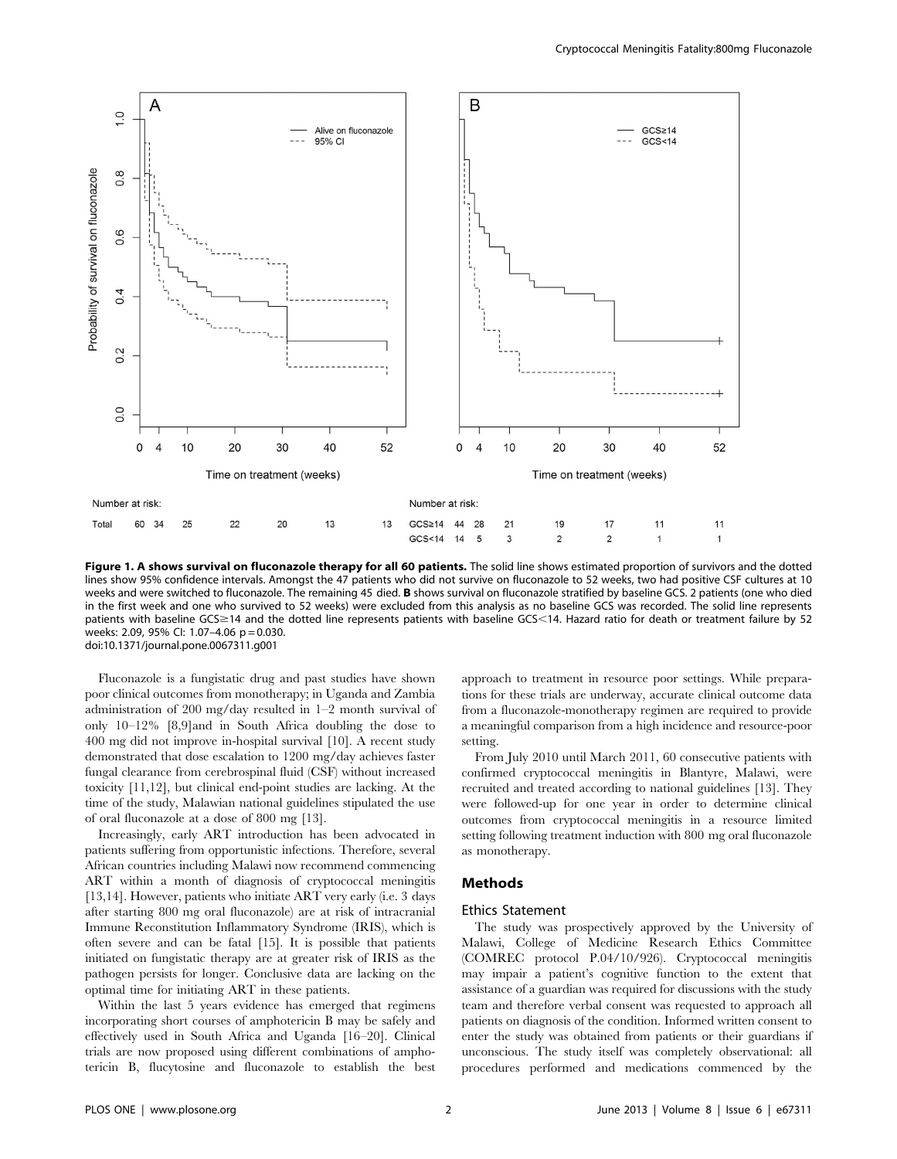

Figure 1. A shows survival on fluconazole therapy for all 60 patients. The solid line shows estimated proportion of survivors and the dotted lines show 95% confidence intervals. Amongst the 47 patients who did not survive on fluconazole to 52 weeks, two had positive CSF cultures at 10 weeks and were switched to fluconazole. The remaining 45 died. **B** shows survival on fluconazole stratified by baseline GCS. 2 patients (one who died in the first week and one who survived to 52 weeks) were excluded from this analysis as no baseline GCS was recorded. The solid line represents patients with baseline GCS ≥14 and the dotted line represents patients with baseline GCS <14. Hazard ratio for death or treatment failure by 52 weeks: 2.09, 95% Cl: 1.07-4.06 p = 0.030. doi:10.1371/journal.pone.0067311.g001

Fluconazole is a fungistatic drug and past studies have shown poor clinical outcomes from monotherapy; in Uganda and Zambia administration of 200 mg/day resulted in 1–2 month survival of only 10–12% [8,9]and in South Africa doubling the dose to 400 mg did not improve in-hospital survival [10]. A recent study demonstrated that dose escalation to 1200 mg/day achieves faster fungal clearance from cerebrospinal fluid (CSF) without increased toxicity [11,12], but clinical end-point studies are lacking. At the time of the study, Malawian national guidelines stipulated the use of oral fluconazole at a dose of 800 mg [13].

Increasingly, early ART introduction has been advocated in patients suffering from opportunistic infections. Therefore, several African countries including Malawi now recommend commencing ART within a month of diagnosis of cryptococcal meningitis [13,14]. However, patients who initiate ART very early (i.e. 3 days after starting 800 mg oral fluconazole) are at risk of intracranial Immune Reconstitution Inflammatory Syndrome (IRIS), which is often severe and can be fatal [15]. It is possible that patients initiated on fungistatic therapy are at greater risk of IRIS as the pathogen persists for longer. Conclusive data are lacking on the optimal time for initiating ART in these patients.

Within the last 5 years evidence has emerged that regimens incorporating short courses of amphotericin B may be safely and effectively used in South Africa and Uganda [16–20]. Clinical trials are now proposed using different combinations of amphotericin B, flucytosine and fluconazole to establish the best approach to treatment in resource poor settings. While preparations for these trials are underway, accurate clinical outcome data from a fluconazole-monotherapy regimen are required to provide a meaningful comparison from a high incidence and resource-poor setting.

From July 2010 until March 2011, 60 consecutive patients with confirmed cryptococcal meningitis in Blantyre, Malawi, were recruited and treated according to national guidelines [13]. They were followed-up for one year in order to determine clinical outcomes from cryptococcal meningitis in a resource limited setting following treatment induction with 800 mg oral fluconazole as monotherapy.

#### Methods

#### Ethics Statement

The study was prospectively approved by the University of Malawi, College of Medicine Research Ethics Committee (COMREC protocol P.04/10/926). Cryptococcal meningitis may impair a patient's cognitive function to the extent that assistance of a guardian was required for discussions with the study team and therefore verbal consent was requested to approach all patients on diagnosis of the condition. Informed written consent to enter the study was obtained from patients or their guardians if unconscious. The study itself was completely observational: all procedures performed and medications commenced by the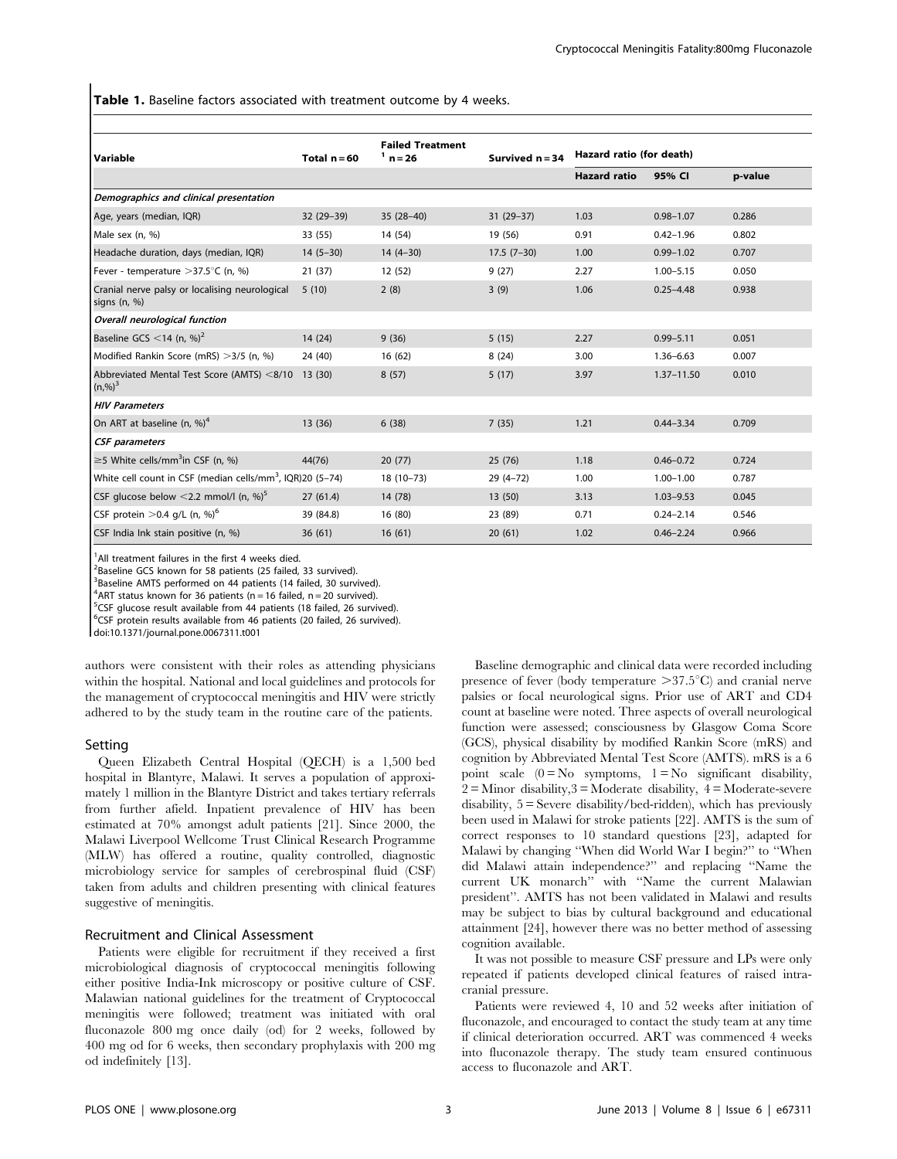Table 1. Baseline factors associated with treatment outcome by 4 weeks.

| l Variable                                                            | Total $n = 60$ | <b>Failed Treatment</b><br>$^1$ n = 26 | Survived $n = 34$ | Hazard ratio (for death) |                |         |
|-----------------------------------------------------------------------|----------------|----------------------------------------|-------------------|--------------------------|----------------|---------|
|                                                                       |                |                                        |                   | <b>Hazard ratio</b>      | 95% CI         | p-value |
| Demographics and clinical presentation                                |                |                                        |                   |                          |                |         |
| Age, years (median, IQR)                                              | 32 (29-39)     | $35(28-40)$                            | 31 (29-37)        | 1.03                     | $0.98 - 1.07$  | 0.286   |
| Male sex (n, %)                                                       | 33 (55)        | 14 (54)                                | 19 (56)           | 0.91                     | $0.42 - 1.96$  | 0.802   |
| Headache duration, days (median, IQR)                                 | $14(5-30)$     | $14(4-30)$                             | $17.5(7-30)$      | 1.00                     | $0.99 - 1.02$  | 0.707   |
| Fever - temperature > 37.5°C (n, %)                                   | 21(37)         | 12(52)                                 | 9(27)             | 2.27                     | $1.00 - 5.15$  | 0.050   |
| Cranial nerve palsy or localising neurological<br>signs $(n, %)$      | 5(10)          | 2(8)                                   | 3(9)              | 1.06                     | $0.25 - 4.48$  | 0.938   |
| Overall neurological function                                         |                |                                        |                   |                          |                |         |
| Baseline GCS <14 (n, $\%$ ) <sup>2</sup>                              | 14 (24)        | 9(36)                                  | 5(15)             | 2.27                     | $0.99 - 5.11$  | 0.051   |
| Modified Rankin Score (mRS) > 3/5 (n, %)                              | 24 (40)        | 16(62)                                 | 8(24)             | 3.00                     | $1.36 - 6.63$  | 0.007   |
| Abbreviated Mental Test Score (AMTS) <8/10<br>$(n, %)$ <sup>3</sup>   | 13(30)         | 8(57)                                  | 5(17)             | 3.97                     | $1.37 - 11.50$ | 0.010   |
| <b>HIV Parameters</b>                                                 |                |                                        |                   |                          |                |         |
| On ART at baseline (n, %) <sup>4</sup>                                | 13 (36)        | 6(38)                                  | 7(35)             | 1.21                     | $0.44 - 3.34$  | 0.709   |
| <b>CSF</b> parameters                                                 |                |                                        |                   |                          |                |         |
| $\geq$ 5 White cells/mm <sup>3</sup> in CSF (n, %)                    | 44(76)         | 20(77)                                 | 25(76)            | 1.18                     | $0.46 - 0.72$  | 0.724   |
| White cell count in CSF (median cells/mm <sup>3</sup> , IQR)20 (5-74) |                | $18(10-73)$                            | $29(4-72)$        | 1.00                     | $1.00 - 1.00$  | 0.787   |
| CSF glucose below <2.2 mmol/l (n, %) <sup>5</sup>                     | 27(61.4)       | 14 (78)                                | 13 (50)           | 3.13                     | $1.03 - 9.53$  | 0.045   |
| CSF protein $>$ 0.4 g/L (n, %) <sup>6</sup>                           | 39 (84.8)      | 16 (80)                                | 23 (89)           | 0.71                     | $0.24 - 2.14$  | 0.546   |
| CSF India Ink stain positive (n, %)                                   | 36(61)         | 16(61)                                 | 20(61)            | 1.02                     | $0.46 - 2.24$  | 0.966   |

<sup>1</sup>All treatment failures in the first 4 weeks died.

<sup>2</sup>Baseline GCS known for 58 patients (25 failed, 33 survived).

<sup>3</sup>Baseline AMTS performed on 44 patients (14 failed, 30 survived).

 $4$ ART status known for 36 patients (n = 16 failed, n = 20 survived).

<sup>5</sup>CSF glucose result available from 44 patients (18 failed, 26 survived).

<sup>6</sup>CSF protein results available from 46 patients (20 failed, 26 survived).

doi:10.1371/journal.pone.0067311.t001

authors were consistent with their roles as attending physicians within the hospital. National and local guidelines and protocols for the management of cryptococcal meningitis and HIV were strictly adhered to by the study team in the routine care of the patients.

#### Setting

Queen Elizabeth Central Hospital (QECH) is a 1,500 bed hospital in Blantyre, Malawi. It serves a population of approximately 1 million in the Blantyre District and takes tertiary referrals from further afield. Inpatient prevalence of HIV has been estimated at 70% amongst adult patients [21]. Since 2000, the Malawi Liverpool Wellcome Trust Clinical Research Programme (MLW) has offered a routine, quality controlled, diagnostic microbiology service for samples of cerebrospinal fluid (CSF) taken from adults and children presenting with clinical features suggestive of meningitis.

## Recruitment and Clinical Assessment

Patients were eligible for recruitment if they received a first microbiological diagnosis of cryptococcal meningitis following either positive India-Ink microscopy or positive culture of CSF. Malawian national guidelines for the treatment of Cryptococcal meningitis were followed; treatment was initiated with oral fluconazole 800 mg once daily (od) for 2 weeks, followed by 400 mg od for 6 weeks, then secondary prophylaxis with 200 mg od indefinitely [13].

Baseline demographic and clinical data were recorded including presence of fever (body temperature  $>37.5^{\circ}C$ ) and cranial nerve palsies or focal neurological signs. Prior use of ART and CD4 count at baseline were noted. Three aspects of overall neurological function were assessed; consciousness by Glasgow Coma Score (GCS), physical disability by modified Rankin Score (mRS) and cognition by Abbreviated Mental Test Score (AMTS). mRS is a 6 point scale  $(0 = No$  symptoms,  $1 = No$  significant disability,  $2 =$ Minor disability,  $3 =$ Moderate disability,  $4 =$ Moderate-severe disability, 5 = Severe disability/bed-ridden), which has previously been used in Malawi for stroke patients [22]. AMTS is the sum of correct responses to 10 standard questions [23], adapted for Malawi by changing ''When did World War I begin?'' to ''When did Malawi attain independence?'' and replacing ''Name the current UK monarch'' with ''Name the current Malawian president''. AMTS has not been validated in Malawi and results may be subject to bias by cultural background and educational attainment [24], however there was no better method of assessing cognition available.

It was not possible to measure CSF pressure and LPs were only repeated if patients developed clinical features of raised intracranial pressure.

Patients were reviewed 4, 10 and 52 weeks after initiation of fluconazole, and encouraged to contact the study team at any time if clinical deterioration occurred. ART was commenced 4 weeks into fluconazole therapy. The study team ensured continuous access to fluconazole and ART.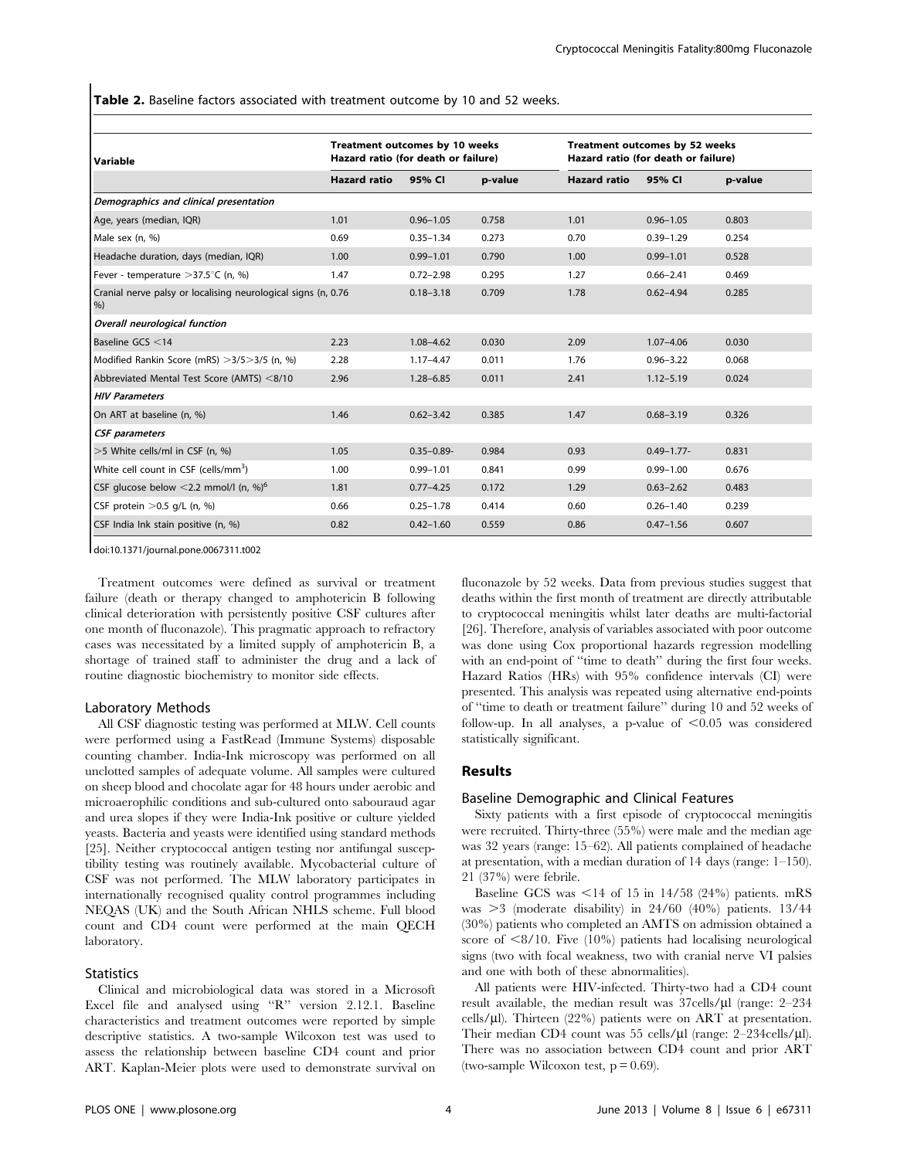Table 2. Baseline factors associated with treatment outcome by 10 and 52 weeks.

| Variable                                                               | Treatment outcomes by 10 weeks<br>Hazard ratio (for death or failure) |                 |         | Treatment outcomes by 52 weeks<br>Hazard ratio (for death or failure) |                 |         |  |
|------------------------------------------------------------------------|-----------------------------------------------------------------------|-----------------|---------|-----------------------------------------------------------------------|-----------------|---------|--|
|                                                                        | <b>Hazard ratio</b>                                                   | 95% CI          | p-value | <b>Hazard ratio</b>                                                   | 95% CI          | p-value |  |
| Demographics and clinical presentation                                 |                                                                       |                 |         |                                                                       |                 |         |  |
| Age, years (median, IQR)                                               | 1.01                                                                  | $0.96 - 1.05$   | 0.758   | 1.01                                                                  | $0.96 - 1.05$   | 0.803   |  |
| Male sex (n, %)                                                        | 0.69                                                                  | $0.35 - 1.34$   | 0.273   | 0.70                                                                  | $0.39 - 1.29$   | 0.254   |  |
| Headache duration, days (median, IQR)                                  | 1.00                                                                  | $0.99 - 1.01$   | 0.790   | 1.00                                                                  | $0.99 - 1.01$   | 0.528   |  |
| Fever - temperature $>37.5^{\circ}$ C (n, %)                           | 1.47                                                                  | $0.72 - 2.98$   | 0.295   | 1.27                                                                  | $0.66 - 2.41$   | 0.469   |  |
| Cranial nerve palsy or localising neurological signs (n, 0.76<br>$%$ ) |                                                                       | $0.18 - 3.18$   | 0.709   | 1.78                                                                  | $0.62 - 4.94$   | 0.285   |  |
| Overall neurological function                                          |                                                                       |                 |         |                                                                       |                 |         |  |
| Baseline GCS <14                                                       | 2.23                                                                  | $1.08 - 4.62$   | 0.030   | 2.09                                                                  | $1.07 - 4.06$   | 0.030   |  |
| Modified Rankin Score (mRS) > 3/5 > 3/5 (n, %)                         | 2.28                                                                  | $1.17 - 4.47$   | 0.011   | 1.76                                                                  | $0.96 - 3.22$   | 0.068   |  |
| Abbreviated Mental Test Score (AMTS) <8/10                             | 2.96                                                                  | $1.28 - 6.85$   | 0.011   | 2.41                                                                  | $1.12 - 5.19$   | 0.024   |  |
| <b>HIV Parameters</b>                                                  |                                                                       |                 |         |                                                                       |                 |         |  |
| On ART at baseline (n, %)                                              | 1.46                                                                  | $0.62 - 3.42$   | 0.385   | 1.47                                                                  | $0.68 - 3.19$   | 0.326   |  |
| <b>CSF</b> parameters                                                  |                                                                       |                 |         |                                                                       |                 |         |  |
| >5 White cells/ml in CSF (n, %)                                        | 1.05                                                                  | $0.35 - 0.89 -$ | 0.984   | 0.93                                                                  | $0.49 - 1.77 -$ | 0.831   |  |
| White cell count in CSF (cells/mm <sup>3</sup> )                       | 1.00                                                                  | $0.99 - 1.01$   | 0.841   | 0.99                                                                  | $0.99 - 1.00$   | 0.676   |  |
| CSF glucose below <2.2 mmol/l (n, %) <sup>6</sup>                      | 1.81                                                                  | $0.77 - 4.25$   | 0.172   | 1.29                                                                  | $0.63 - 2.62$   | 0.483   |  |
| CSF protein $>0.5$ q/L (n, %)                                          | 0.66                                                                  | $0.25 - 1.78$   | 0.414   | 0.60                                                                  | $0.26 - 1.40$   | 0.239   |  |
| CSF India Ink stain positive (n, %)                                    | 0.82                                                                  | $0.42 - 1.60$   | 0.559   | 0.86                                                                  | $0.47 - 1.56$   | 0.607   |  |

doi:10.1371/journal.pone.0067311.t002

Treatment outcomes were defined as survival or treatment failure (death or therapy changed to amphotericin B following clinical deterioration with persistently positive CSF cultures after one month of fluconazole). This pragmatic approach to refractory cases was necessitated by a limited supply of amphotericin B, a shortage of trained staff to administer the drug and a lack of routine diagnostic biochemistry to monitor side effects.

### Laboratory Methods

All CSF diagnostic testing was performed at MLW. Cell counts were performed using a FastRead (Immune Systems) disposable counting chamber. India-Ink microscopy was performed on all unclotted samples of adequate volume. All samples were cultured on sheep blood and chocolate agar for 48 hours under aerobic and microaerophilic conditions and sub-cultured onto sabouraud agar and urea slopes if they were India-Ink positive or culture yielded yeasts. Bacteria and yeasts were identified using standard methods [25]. Neither cryptococcal antigen testing nor antifungal susceptibility testing was routinely available. Mycobacterial culture of CSF was not performed. The MLW laboratory participates in internationally recognised quality control programmes including NEQAS (UK) and the South African NHLS scheme. Full blood count and CD4 count were performed at the main QECH laboratory.

# **Statistics**

Clinical and microbiological data was stored in a Microsoft Excel file and analysed using ''R'' version 2.12.1. Baseline characteristics and treatment outcomes were reported by simple descriptive statistics. A two-sample Wilcoxon test was used to assess the relationship between baseline CD4 count and prior ART. Kaplan-Meier plots were used to demonstrate survival on fluconazole by 52 weeks. Data from previous studies suggest that deaths within the first month of treatment are directly attributable to cryptococcal meningitis whilst later deaths are multi-factorial [26]. Therefore, analysis of variables associated with poor outcome was done using Cox proportional hazards regression modelling with an end-point of ''time to death'' during the first four weeks. Hazard Ratios (HRs) with 95% confidence intervals (CI) were presented. This analysis was repeated using alternative end-points of ''time to death or treatment failure'' during 10 and 52 weeks of follow-up. In all analyses, a p-value of  $< 0.05$  was considered statistically significant.

## Results

### Baseline Demographic and Clinical Features

Sixty patients with a first episode of cryptococcal meningitis were recruited. Thirty-three (55%) were male and the median age was 32 years (range: 15–62). All patients complained of headache at presentation, with a median duration of 14 days (range: 1–150). 21 (37%) were febrile.

Baseline GCS was  $\leq$ 14 of 15 in 14/58 (24%) patients. mRS was  $>3$  (moderate disability) in 24/60 (40%) patients. 13/44 (30%) patients who completed an AMTS on admission obtained a score of  $\langle 8/10.$  Five (10%) patients had localising neurological signs (two with focal weakness, two with cranial nerve VI palsies and one with both of these abnormalities).

All patients were HIV-infected. Thirty-two had a CD4 count result available, the median result was  $37 \text{cells/}\mu$ l (range: 2–234 cells/ $\mu$ l). Thirteen (22%) patients were on ART at presentation. Their median CD4 count was 55 cells/ $\mu$ l (range: 2–234cells/ $\mu$ l). There was no association between CD4 count and prior ART (two-sample Wilcoxon test,  $p = 0.69$ ).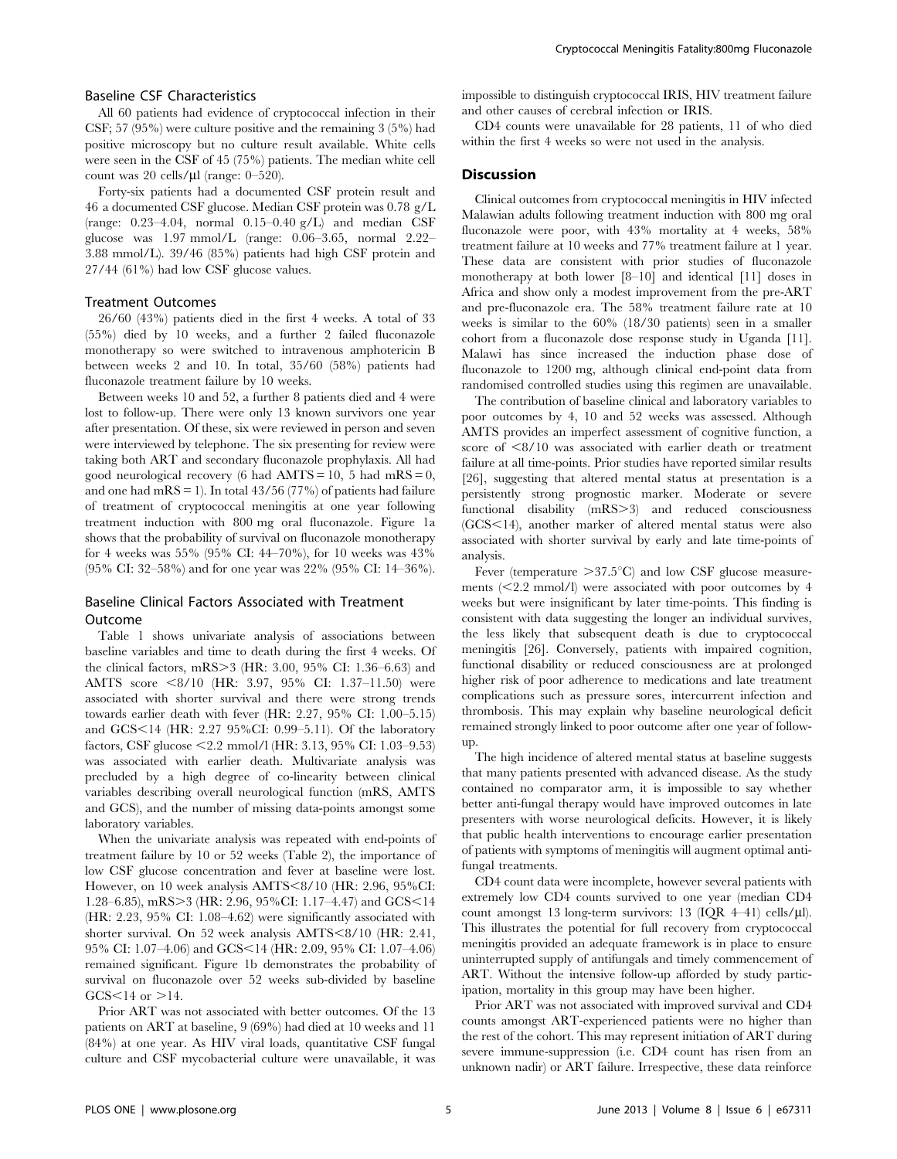# Baseline CSF Characteristics

All 60 patients had evidence of cryptococcal infection in their CSF; 57 (95%) were culture positive and the remaining 3 (5%) had positive microscopy but no culture result available. White cells were seen in the CSF of 45 (75%) patients. The median white cell count was 20 cells/ $\mu$ l (range: 0–520).

Forty-six patients had a documented CSF protein result and 46 a documented CSF glucose. Median CSF protein was 0.78 g/L (range:  $0.23-4.04$ , normal  $0.15-0.40$  g/L) and median CSF glucose was 1.97 mmol/L (range: 0.06–3.65, normal 2.22– 3.88 mmol/L). 39/46 (85%) patients had high CSF protein and 27/44 (61%) had low CSF glucose values.

# Treatment Outcomes

26/60 (43%) patients died in the first 4 weeks. A total of 33 (55%) died by 10 weeks, and a further 2 failed fluconazole monotherapy so were switched to intravenous amphotericin B between weeks 2 and 10. In total, 35/60 (58%) patients had fluconazole treatment failure by 10 weeks.

Between weeks 10 and 52, a further 8 patients died and 4 were lost to follow-up. There were only 13 known survivors one year after presentation. Of these, six were reviewed in person and seven were interviewed by telephone. The six presenting for review were taking both ART and secondary fluconazole prophylaxis. All had good neurological recovery (6 had  $AMTS = 10$ , 5 had mRS = 0, and one had m $RS = 1$ ). In total 43/56 (77%) of patients had failure of treatment of cryptococcal meningitis at one year following treatment induction with 800 mg oral fluconazole. Figure 1a shows that the probability of survival on fluconazole monotherapy for 4 weeks was 55% (95% CI: 44–70%), for 10 weeks was 43% (95% CI: 32–58%) and for one year was 22% (95% CI: 14–36%).

# Baseline Clinical Factors Associated with Treatment Outcome

Table 1 shows univariate analysis of associations between baseline variables and time to death during the first 4 weeks. Of the clinical factors,  $mRS > 3$  (HR: 3.00, 95% CI: 1.36–6.63) and AMTS score <8/10 (HR: 3.97, 95% CI: 1.37–11.50) were associated with shorter survival and there were strong trends towards earlier death with fever (HR: 2.27, 95% CI: 1.00–5.15) and GCS<14 (HR: 2.27 95%CI: 0.99–5.11). Of the laboratory factors, CSF glucose  $\leq$  2.2 mmol/l (HR: 3.13, 95% CI: 1.03–9.53) was associated with earlier death. Multivariate analysis was precluded by a high degree of co-linearity between clinical variables describing overall neurological function (mRS, AMTS and GCS), and the number of missing data-points amongst some laboratory variables.

When the univariate analysis was repeated with end-points of treatment failure by 10 or 52 weeks (Table 2), the importance of low CSF glucose concentration and fever at baseline were lost. However, on 10 week analysis AMTS<8/10 (HR: 2.96, 95%CI: 1.28–6.85), mRS>3 (HR: 2.96, 95%CI: 1.17–4.47) and GCS<14 (HR: 2.23, 95% CI: 1.08–4.62) were significantly associated with shorter survival. On 52 week analysis AMTS<8/10 (HR: 2.41, 95% CI: 1.07-4.06) and GCS<14 (HR: 2.09, 95% CI: 1.07-4.06) remained significant. Figure 1b demonstrates the probability of survival on fluconazole over 52 weeks sub-divided by baseline  $GCS < 14$  or  $>14$ .

Prior ART was not associated with better outcomes. Of the 13 patients on ART at baseline, 9 (69%) had died at 10 weeks and 11 (84%) at one year. As HIV viral loads, quantitative CSF fungal culture and CSF mycobacterial culture were unavailable, it was impossible to distinguish cryptococcal IRIS, HIV treatment failure and other causes of cerebral infection or IRIS.

CD4 counts were unavailable for 28 patients, 11 of who died within the first 4 weeks so were not used in the analysis.

# **Discussion**

Clinical outcomes from cryptococcal meningitis in HIV infected Malawian adults following treatment induction with 800 mg oral fluconazole were poor, with 43% mortality at 4 weeks, 58% treatment failure at 10 weeks and 77% treatment failure at 1 year. These data are consistent with prior studies of fluconazole monotherapy at both lower [8–10] and identical [11] doses in Africa and show only a modest improvement from the pre-ART and pre-fluconazole era. The 58% treatment failure rate at 10 weeks is similar to the 60% (18/30 patients) seen in a smaller cohort from a fluconazole dose response study in Uganda [11]. Malawi has since increased the induction phase dose of fluconazole to 1200 mg, although clinical end-point data from randomised controlled studies using this regimen are unavailable.

The contribution of baseline clinical and laboratory variables to poor outcomes by 4, 10 and 52 weeks was assessed. Although AMTS provides an imperfect assessment of cognitive function, a score of  $\langle 8/10 \rangle$  was associated with earlier death or treatment failure at all time-points. Prior studies have reported similar results [26], suggesting that altered mental status at presentation is a persistently strong prognostic marker. Moderate or severe functional disability (mRS>3) and reduced consciousness (GCS<14), another marker of altered mental status were also associated with shorter survival by early and late time-points of analysis.

Fever (temperature  $>37.5^{\circ}C$ ) and low CSF glucose measurements  $\langle \leq 2.2 \text{ mmol/l} \rangle$  were associated with poor outcomes by 4 weeks but were insignificant by later time-points. This finding is consistent with data suggesting the longer an individual survives, the less likely that subsequent death is due to cryptococcal meningitis [26]. Conversely, patients with impaired cognition, functional disability or reduced consciousness are at prolonged higher risk of poor adherence to medications and late treatment complications such as pressure sores, intercurrent infection and thrombosis. This may explain why baseline neurological deficit remained strongly linked to poor outcome after one year of followup.

The high incidence of altered mental status at baseline suggests that many patients presented with advanced disease. As the study contained no comparator arm, it is impossible to say whether better anti-fungal therapy would have improved outcomes in late presenters with worse neurological deficits. However, it is likely that public health interventions to encourage earlier presentation of patients with symptoms of meningitis will augment optimal antifungal treatments.

CD4 count data were incomplete, however several patients with extremely low CD4 counts survived to one year (median CD4 count amongst 13 long-term survivors: 13 (IQR 4–41) cells/ $\mu$ l). This illustrates the potential for full recovery from cryptococcal meningitis provided an adequate framework is in place to ensure uninterrupted supply of antifungals and timely commencement of ART. Without the intensive follow-up afforded by study participation, mortality in this group may have been higher.

Prior ART was not associated with improved survival and CD4 counts amongst ART-experienced patients were no higher than the rest of the cohort. This may represent initiation of ART during severe immune-suppression (i.e. CD4 count has risen from an unknown nadir) or ART failure. Irrespective, these data reinforce